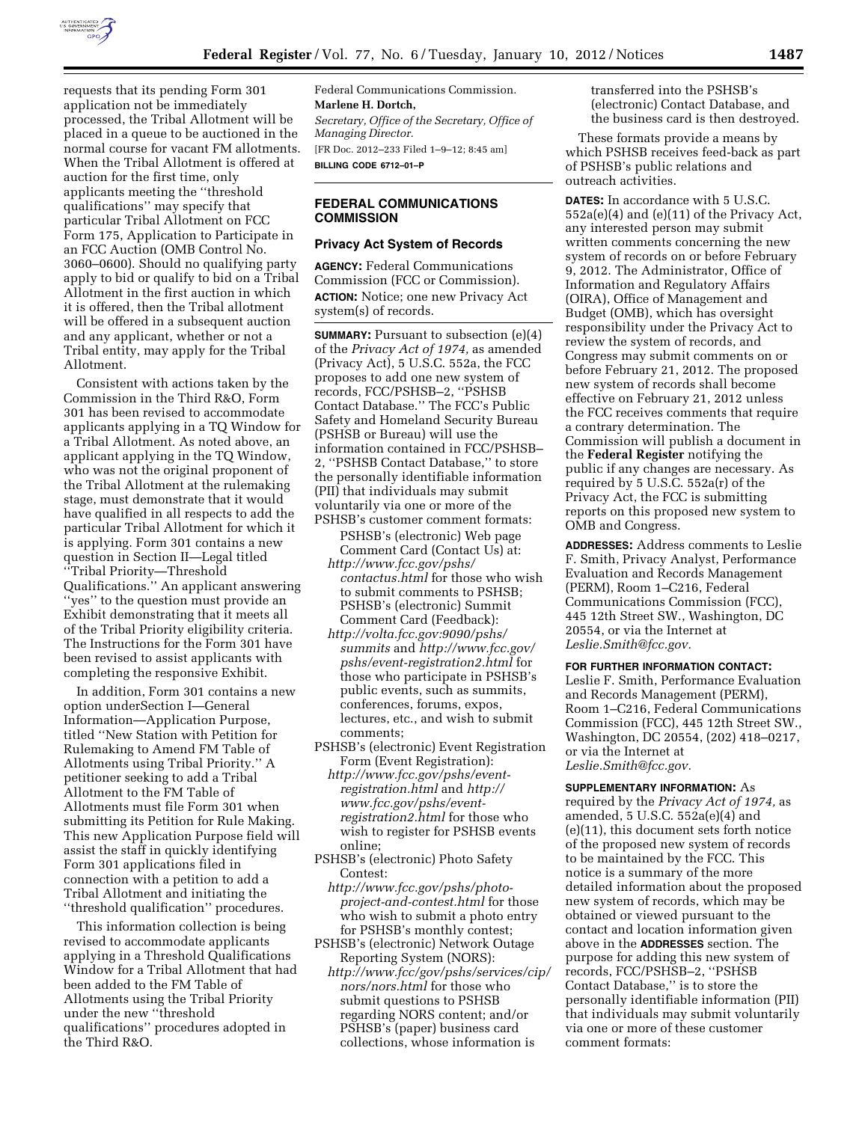

requests that its pending Form 301 application not be immediately processed, the Tribal Allotment will be placed in a queue to be auctioned in the normal course for vacant FM allotments. When the Tribal Allotment is offered at auction for the first time, only applicants meeting the ''threshold qualifications'' may specify that particular Tribal Allotment on FCC Form 175, Application to Participate in an FCC Auction (OMB Control No. 3060–0600). Should no qualifying party apply to bid or qualify to bid on a Tribal Allotment in the first auction in which it is offered, then the Tribal allotment will be offered in a subsequent auction and any applicant, whether or not a Tribal entity, may apply for the Tribal Allotment.

Consistent with actions taken by the Commission in the Third R&O, Form 301 has been revised to accommodate applicants applying in a TQ Window for a Tribal Allotment. As noted above, an applicant applying in the TQ Window, who was not the original proponent of the Tribal Allotment at the rulemaking stage, must demonstrate that it would have qualified in all respects to add the particular Tribal Allotment for which it is applying. Form 301 contains a new question in Section II—Legal titled ''Tribal Priority—Threshold Qualifications.'' An applicant answering ''yes'' to the question must provide an Exhibit demonstrating that it meets all of the Tribal Priority eligibility criteria. The Instructions for the Form 301 have been revised to assist applicants with completing the responsive Exhibit.

In addition, Form 301 contains a new option underSection I—General Information—Application Purpose, titled ''New Station with Petition for Rulemaking to Amend FM Table of Allotments using Tribal Priority.'' A petitioner seeking to add a Tribal Allotment to the FM Table of Allotments must file Form 301 when submitting its Petition for Rule Making. This new Application Purpose field will assist the staff in quickly identifying Form 301 applications filed in connection with a petition to add a Tribal Allotment and initiating the ''threshold qualification'' procedures.

This information collection is being revised to accommodate applicants applying in a Threshold Qualifications Window for a Tribal Allotment that had been added to the FM Table of Allotments using the Tribal Priority under the new ''threshold qualifications'' procedures adopted in the Third R&O.

Federal Communications Commission. **Marlene H. Dortch,**  *Secretary, Office of the Secretary, Office of Managing Director.*  [FR Doc. 2012–233 Filed 1–9–12; 8:45 am] **BILLING CODE 6712–01–P** 

# **FEDERAL COMMUNICATIONS COMMISSION**

## **Privacy Act System of Records**

**AGENCY:** Federal Communications Commission (FCC or Commission). **ACTION:** Notice; one new Privacy Act system(s) of records.

**SUMMARY:** Pursuant to subsection (e)(4) of the *Privacy Act of 1974,* as amended (Privacy Act), 5 U.S.C. 552a, the FCC proposes to add one new system of records, FCC/PSHSB–2, ''PSHSB Contact Database.'' The FCC's Public Safety and Homeland Security Bureau (PSHSB or Bureau) will use the information contained in FCC/PSHSB– 2, ''PSHSB Contact Database,'' to store the personally identifiable information (PII) that individuals may submit voluntarily via one or more of the PSHSB's customer comment formats:

PSHSB's (electronic) Web page Comment Card (Contact Us) at: *[http://www.fcc.gov/pshs/](http://www.fcc.gov/pshs/contactus.html)* 

- *[contactus.html](http://www.fcc.gov/pshs/contactus.html)* for those who wish to submit comments to PSHSB; PSHSB's (electronic) Summit Comment Card (Feedback):
- *[http://volta.fcc.gov:9090/pshs/](http://volta.fcc.gov:9090/pshs/summits)  [summits](http://volta.fcc.gov:9090/pshs/summits)* and *[http://www.fcc.gov/](http://www.fcc.gov/pshs/event-registration2.html) [pshs/event-registration2.html](http://www.fcc.gov/pshs/event-registration2.html)* for those who participate in PSHSB's public events, such as summits, conferences, forums, expos, lectures, etc., and wish to submit comments;
- PSHSB's (electronic) Event Registration Form (Event Registration):
	- *[http://www.fcc.gov/pshs/event](http://www.fcc.gov/pshs/event-registration.html)[registration.html](http://www.fcc.gov/pshs/event-registration.html)* and *[http://](http://www.fcc.gov/pshs/event-registration2.html)  [www.fcc.gov/pshs/event](http://www.fcc.gov/pshs/event-registration2.html)[registration2.html](http://www.fcc.gov/pshs/event-registration2.html)* for those who wish to register for PSHSB events online;
- PSHSB's (electronic) Photo Safety Contest:
	- *[http://www.fcc.gov/pshs/photo](http://www.fcc.gov/pshs/photo-project-and-contest.html)[project-and-contest.html](http://www.fcc.gov/pshs/photo-project-and-contest.html)* for those who wish to submit a photo entry for PSHSB's monthly contest;
- PSHSB's (electronic) Network Outage Reporting System (NORS):
	- *[http://www.fcc/gov/pshs/services/cip/](http://www.fcc/gov/pshs/services/cip/nors/nors.html) [nors/nors.html](http://www.fcc/gov/pshs/services/cip/nors/nors.html)* for those who submit questions to PSHSB regarding NORS content; and/or PSHSB's (paper) business card collections, whose information is

transferred into the PSHSB's (electronic) Contact Database, and the business card is then destroyed.

These formats provide a means by which PSHSB receives feed-back as part of PSHSB's public relations and outreach activities.

**DATES:** In accordance with 5 U.S.C. 552a(e)(4) and (e)(11) of the Privacy Act, any interested person may submit written comments concerning the new system of records on or before February 9, 2012. The Administrator, Office of Information and Regulatory Affairs (OIRA), Office of Management and Budget (OMB), which has oversight responsibility under the Privacy Act to review the system of records, and Congress may submit comments on or before February 21, 2012. The proposed new system of records shall become effective on February 21, 2012 unless the FCC receives comments that require a contrary determination. The Commission will publish a document in the **Federal Register** notifying the public if any changes are necessary. As required by 5 U.S.C. 552a(r) of the Privacy Act, the FCC is submitting reports on this proposed new system to OMB and Congress.

**ADDRESSES:** Address comments to Leslie F. Smith, Privacy Analyst, Performance Evaluation and Records Management (PERM), Room 1–C216, Federal Communications Commission (FCC), 445 12th Street SW., Washington, DC 20554, or via the Internet at *[Leslie.Smith@fcc.gov.](mailto:Leslie.Smith@fcc.gov)* 

# **FOR FURTHER INFORMATION CONTACT:**

Leslie F. Smith, Performance Evaluation and Records Management (PERM), Room 1–C216, Federal Communications Commission (FCC), 445 12th Street SW., Washington, DC 20554, (202) 418–0217, or via the Internet at *[Leslie.Smith@fcc.gov.](mailto:Leslie.Smith@fcc.gov)* 

**SUPPLEMENTARY INFORMATION:** As required by the *Privacy Act of 1974,* as amended, 5 U.S.C. 552a(e)(4) and (e)(11), this document sets forth notice of the proposed new system of records to be maintained by the FCC. This notice is a summary of the more detailed information about the proposed new system of records, which may be obtained or viewed pursuant to the contact and location information given above in the **ADDRESSES** section. The purpose for adding this new system of records, FCC/PSHSB–2, ''PSHSB Contact Database,'' is to store the personally identifiable information (PII) that individuals may submit voluntarily via one or more of these customer comment formats: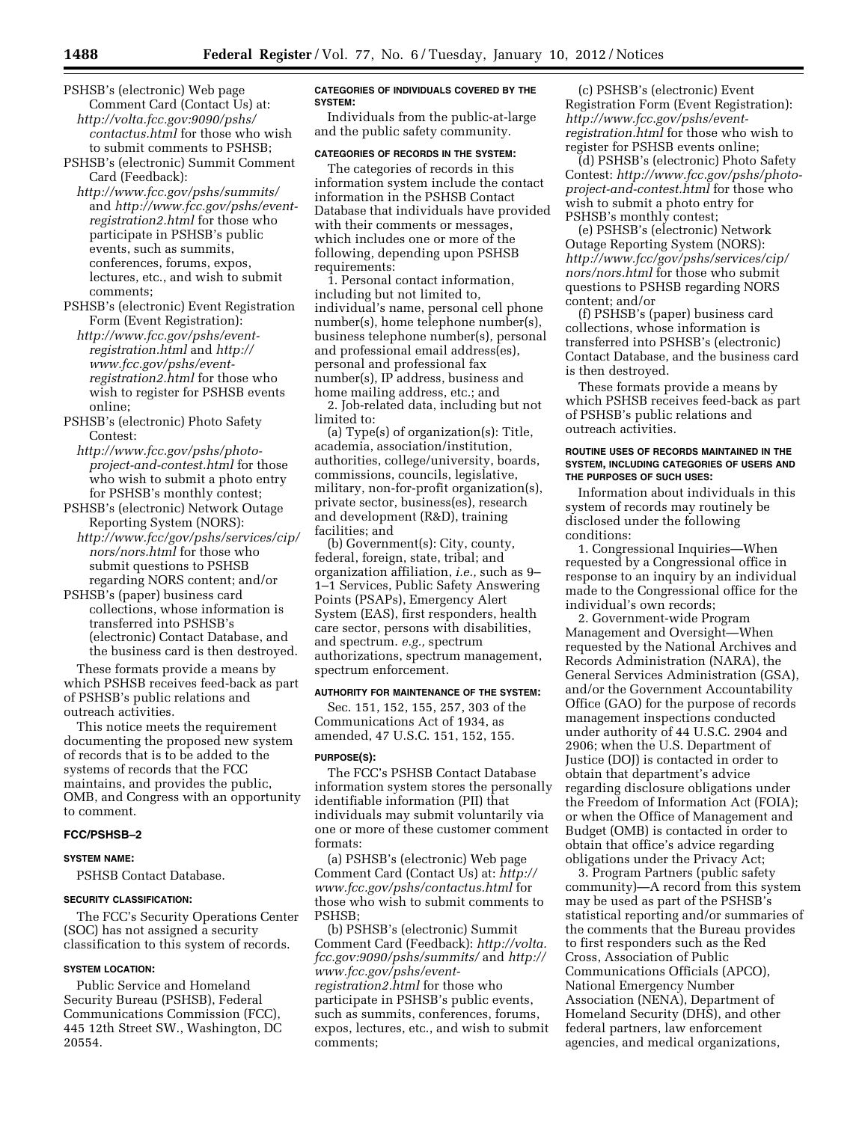- PSHSB's (electronic) Web page Comment Card (Contact Us) at: *[http://volta.fcc.gov:9090/pshs/](http://volta.fcc.gov:9090/pshs/contactus.html)  [contactus.html](http://volta.fcc.gov:9090/pshs/contactus.html)* for those who wish to submit comments to PSHSB;
- PSHSB's (electronic) Summit Comment Card (Feedback):

*<http://www.fcc.gov/pshs/summits/>* and *[http://www.fcc.gov/pshs/event](http://www.fcc.gov/pshs/event-registration2.html)[registration2.html](http://www.fcc.gov/pshs/event-registration2.html)* for those who participate in PSHSB's public events, such as summits, conferences, forums, expos, lectures, etc., and wish to submit comments;

- PSHSB's (electronic) Event Registration Form (Event Registration): *[http://www.fcc.gov/pshs/event](http://www.fcc.gov/pshs/event-registration.html)[registration.html](http://www.fcc.gov/pshs/event-registration.html)* and *[http://](http://www.fcc.gov/pshs/event-registration2.html)  [www.fcc.gov/pshs/event](http://www.fcc.gov/pshs/event-registration2.html)[registration2.html](http://www.fcc.gov/pshs/event-registration2.html)* for those who wish to register for PSHSB events online;
- PSHSB's (electronic) Photo Safety Contest:
- *[http://www.fcc.gov/pshs/photo](http://www.fcc.gov/pshs/photo-project-and-contest.html)[project-and-contest.html](http://www.fcc.gov/pshs/photo-project-and-contest.html)* for those who wish to submit a photo entry for PSHSB's monthly contest;
- PSHSB's (electronic) Network Outage Reporting System (NORS):
- *[http://www.fcc/gov/pshs/services/cip/](http://www.fcc/gov/pshs/services/cip/nors/nors.html) [nors/nors.html](http://www.fcc/gov/pshs/services/cip/nors/nors.html)* for those who submit questions to PSHSB regarding NORS content; and/or
- PSHSB's (paper) business card collections, whose information is transferred into PSHSB's (electronic) Contact Database, and the business card is then destroyed.

These formats provide a means by which PSHSB receives feed-back as part of PSHSB's public relations and outreach activities.

This notice meets the requirement documenting the proposed new system of records that is to be added to the systems of records that the FCC maintains, and provides the public, OMB, and Congress with an opportunity to comment.

## **FCC/PSHSB–2**

### **SYSTEM NAME:**

PSHSB Contact Database.

#### **SECURITY CLASSIFICATION:**

The FCC's Security Operations Center (SOC) has not assigned a security classification to this system of records.

## **SYSTEM LOCATION:**

Public Service and Homeland Security Bureau (PSHSB), Federal Communications Commission (FCC), 445 12th Street SW., Washington, DC 20554.

## **CATEGORIES OF INDIVIDUALS COVERED BY THE SYSTEM:**

Individuals from the public-at-large and the public safety community.

# **CATEGORIES OF RECORDS IN THE SYSTEM:**

The categories of records in this information system include the contact information in the PSHSB Contact Database that individuals have provided with their comments or messages, which includes one or more of the following, depending upon PSHSB requirements:

1. Personal contact information, including but not limited to, individual's name, personal cell phone number(s), home telephone number(s), business telephone number(s), personal and professional email address(es), personal and professional fax number(s), IP address, business and home mailing address, etc.; and

2. Job-related data, including but not limited to:

(a) Type(s) of organization(s): Title, academia, association/institution, authorities, college/university, boards, commissions, councils, legislative, military, non-for-profit organization(s), private sector, business(es), research and development (R&D), training facilities; and

(b) Government(s): City, county, federal, foreign, state, tribal; and organization affiliation, *i.e.,* such as 9– 1–1 Services, Public Safety Answering Points (PSAPs), Emergency Alert System (EAS), first responders, health care sector, persons with disabilities, and spectrum. *e.g.,* spectrum authorizations, spectrum management, spectrum enforcement.

## **AUTHORITY FOR MAINTENANCE OF THE SYSTEM:**

Sec. 151, 152, 155, 257, 303 of the Communications Act of 1934, as amended, 47 U.S.C. 151, 152, 155.

#### **PURPOSE(S):**

The FCC's PSHSB Contact Database information system stores the personally identifiable information (PII) that individuals may submit voluntarily via one or more of these customer comment formats:

(a) PSHSB's (electronic) Web page Comment Card (Contact Us) at: *[http://](http://www.fcc.gov/pshs/contactus.html) [www.fcc.gov/pshs/contactus.html](http://www.fcc.gov/pshs/contactus.html)* for those who wish to submit comments to PSHSB;

(b) PSHSB's (electronic) Summit Comment Card (Feedback): *[http://volta.](http://volta.fcc.gov:9090/pshs/summits/) [fcc.gov:9090/pshs/summits/](http://volta.fcc.gov:9090/pshs/summits/)* and *[http://](http://www.fcc.gov/pshs/event-registration2.html) [www.fcc.gov/pshs/event](http://www.fcc.gov/pshs/event-registration2.html)[registration2.html](http://www.fcc.gov/pshs/event-registration2.html)* for those who participate in PSHSB's public events, such as summits, conferences, forums, expos, lectures, etc., and wish to submit comments;

(c) PSHSB's (electronic) Event Registration Form (Event Registration): *[http://www.fcc.gov/pshs/event](http://www.fcc.gov/pshs/event-registration.html)[registration.html](http://www.fcc.gov/pshs/event-registration.html)* for those who wish to register for PSHSB events online;

(d) PSHSB's (electronic) Photo Safety Contest: *[http://www.fcc.gov/pshs/photo](http://www.fcc.gov/pshs/photo-project-and-contest.html)[project-and-contest.html](http://www.fcc.gov/pshs/photo-project-and-contest.html)* for those who wish to submit a photo entry for PSHSB's monthly contest;

(e) PSHSB's (electronic) Network Outage Reporting System (NORS): *[http://www.fcc/gov/pshs/services/cip/](http://www.fcc/gov/pshs/services/cip/nors/nors.html) [nors/nors.html](http://www.fcc/gov/pshs/services/cip/nors/nors.html)* for those who submit questions to PSHSB regarding NORS content; and/or

(f) PSHSB's (paper) business card collections, whose information is transferred into PSHSB's (electronic) Contact Database, and the business card is then destroyed.

These formats provide a means by which PSHSB receives feed-back as part of PSHSB's public relations and outreach activities.

### **ROUTINE USES OF RECORDS MAINTAINED IN THE SYSTEM, INCLUDING CATEGORIES OF USERS AND THE PURPOSES OF SUCH USES:**

Information about individuals in this system of records may routinely be disclosed under the following conditions:

1. Congressional Inquiries—When requested by a Congressional office in response to an inquiry by an individual made to the Congressional office for the individual's own records;

2. Government-wide Program Management and Oversight—When requested by the National Archives and Records Administration (NARA), the General Services Administration (GSA), and/or the Government Accountability Office (GAO) for the purpose of records management inspections conducted under authority of 44 U.S.C. 2904 and 2906; when the U.S. Department of Justice (DOJ) is contacted in order to obtain that department's advice regarding disclosure obligations under the Freedom of Information Act (FOIA); or when the Office of Management and Budget (OMB) is contacted in order to obtain that office's advice regarding obligations under the Privacy Act;

3. Program Partners (public safety community)—A record from this system may be used as part of the PSHSB's statistical reporting and/or summaries of the comments that the Bureau provides to first responders such as the Red Cross, Association of Public Communications Officials (APCO), National Emergency Number Association (NENA), Department of Homeland Security (DHS), and other federal partners, law enforcement agencies, and medical organizations,